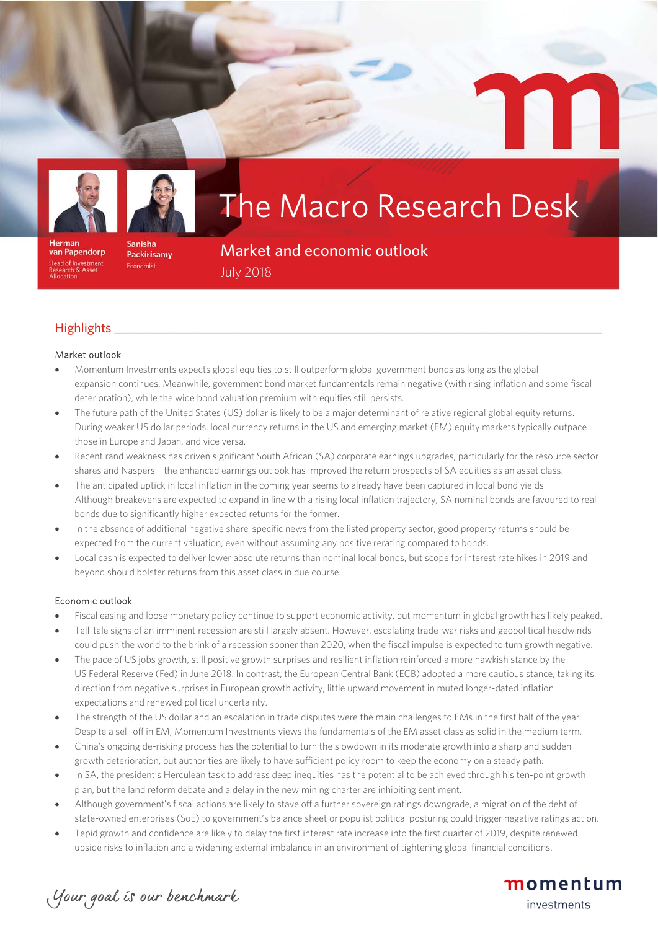

van Papendorp

ead of Investment<br>esearch & Asset

Herman



#### Sanisha Packirisamy Economist

# The Macro Research Desk

Market and economic outlook July 2018

## ${\sf High lights} \$

#### Market outlook

- Momentum Investments expects global equities to still outperform global government bonds as long as the global expansion continues. Meanwhile, government bond market fundamentals remain negative (with rising inflation and some fiscal deterioration), while the wide bond valuation premium with equities still persists.
- The future path of the United States (US) dollar is likely to be a major determinant of relative regional global equity returns. During weaker US dollar periods, local currency returns in the US and emerging market (EM) equity markets typically outpace those in Europe and Japan, and vice versa.
- Recent rand weakness has driven significant South African (SA) corporate earnings upgrades, particularly for the resource sector shares and Naspers – the enhanced earnings outlook has improved the return prospects of SA equities as an asset class.
- The anticipated uptick in local inflation in the coming year seems to already have been captured in local bond yields. Although breakevens are expected to expand in line with a rising local inflation trajectory, SA nominal bonds are favoured to real bonds due to significantly higher expected returns for the former.
- In the absence of additional negative share-specific news from the listed property sector, good property returns should be expected from the current valuation, even without assuming any positive rerating compared to bonds.
- Local cash is expected to deliver lower absolute returns than nominal local bonds, but scope for interest rate hikes in 2019 and beyond should bolster returns from this asset class in due course.

#### Economic outlook

- Fiscal easing and loose monetary policy continue to support economic activity, but momentum in global growth has likely peaked.
- Tell-tale signs of an imminent recession are still largely absent. However, escalating trade-war risks and geopolitical headwinds could push the world to the brink of a recession sooner than 2020, when the fiscal impulse is expected to turn growth negative.
- The pace of US jobs growth, still positive growth surprises and resilient inflation reinforced a more hawkish stance by the US Federal Reserve (Fed) in June 2018. In contrast, the European Central Bank (ECB) adopted a more cautious stance, taking its direction from negative surprises in European growth activity, little upward movement in muted longer-dated inflation expectations and renewed political uncertainty.
- The strength of the US dollar and an escalation in trade disputes were the main challenges to EMs in the first half of the year. Despite a sell-off in EM, Momentum Investments views the fundamentals of the EM asset class as solid in the medium term.
- China's ongoing de-risking process has the potential to turn the slowdown in its moderate growth into a sharp and sudden growth deterioration, but authorities are likely to have sufficient policy room to keep the economy on a steady path.
- In SA, the president's Herculean task to address deep inequities has the potential to be achieved through his ten-point growth plan, but the land reform debate and a delay in the new mining charter are inhibiting sentiment.
- Although government's fiscal actions are likely to stave off a further sovereign ratings downgrade, a migration of the debt of state-owned enterprises (SoE) to government's balance sheet or populist political posturing could trigger negative ratings action.
- Tepid growth and confidence are likely to delay the first interest rate increase into the first quarter of 2019, despite renewed upside risks to inflation and a widening external imbalance in an environment of tightening global financial conditions.

momentum

investments

Your goal is our benchmark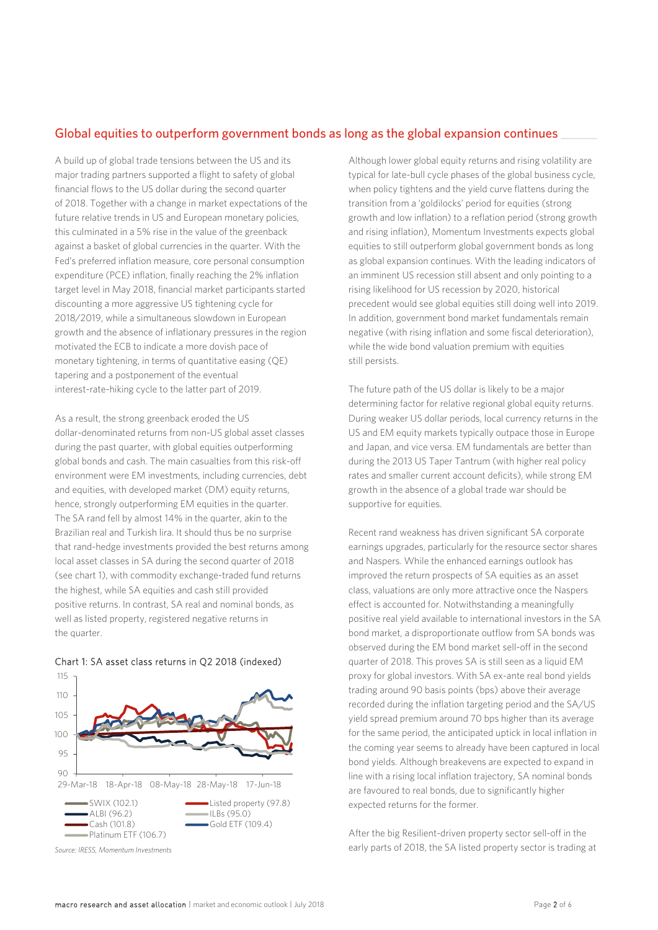### Global equities to outperform government bonds as long as the global expansion continues

A build up of global trade tensions between the US and its major trading partners supported a flight to safety of global financial flows to the US dollar during the second quarter of 2018. Together with a change in market expectations of the future relative trends in US and European monetary policies, this culminated in a 5% rise in the value of the greenback against a basket of global currencies in the quarter. With the Fed's preferred inflation measure, core personal consumption expenditure (PCE) inflation, finally reaching the 2% inflation target level in May 2018, financial market participants started discounting a more aggressive US tightening cycle for 2018/2019, while a simultaneous slowdown in European growth and the absence of inflationary pressures in the region motivated the ECB to indicate a more dovish pace of monetary tightening, in terms of quantitative easing (QE) tapering and a postponement of the eventual interest-rate-hiking cycle to the latter part of 2019.

As a result, the strong greenback eroded the US dollar-denominated returns from non-US global asset classes during the past quarter, with global equities outperforming global bonds and cash. The main casualties from this risk-off environment were EM investments, including currencies, debt and equities, with developed market (DM) equity returns, hence, strongly outperforming EM equities in the quarter. The SA rand fell by almost 14% in the quarter, akin to the Brazilian real and Turkish lira. It should thus be no surprise that rand-hedge investments provided the best returns among local asset classes in SA during the second quarter of 2018 (see chart 1), with commodity exchange-traded fund returns the highest, while SA equities and cash still provided positive returns. In contrast, SA real and nominal bonds, as well as listed property, registered negative returns in the quarter.



Chart 1: SA asset class returns in Q2 2018 (indexed)

*Source: IRESS, Momentum Investments*

Although lower global equity returns and rising volatility are typical for late-bull cycle phases of the global business cycle, when policy tightens and the yield curve flattens during the transition from a 'goldilocks' period for equities (strong growth and low inflation) to a reflation period (strong growth and rising inflation), Momentum Investments expects global equities to still outperform global government bonds as long as global expansion continues. With the leading indicators of an imminent US recession still absent and only pointing to a rising likelihood for US recession by 2020, historical precedent would see global equities still doing well into 2019. In addition, government bond market fundamentals remain negative (with rising inflation and some fiscal deterioration), while the wide bond valuation premium with equities still persists.

The future path of the US dollar is likely to be a major determining factor for relative regional global equity returns. During weaker US dollar periods, local currency returns in the US and EM equity markets typically outpace those in Europe and Japan, and vice versa. EM fundamentals are better than during the 2013 US Taper Tantrum (with higher real policy rates and smaller current account deficits), while strong EM growth in the absence of a global trade war should be supportive for equities.

Recent rand weakness has driven significant SA corporate earnings upgrades, particularly for the resource sector shares and Naspers. While the enhanced earnings outlook has improved the return prospects of SA equities as an asset class, valuations are only more attractive once the Naspers effect is accounted for. Notwithstanding a meaningfully positive real yield available to international investors in the SA bond market, a disproportionate outflow from SA bonds was observed during the EM bond market sell-off in the second quarter of 2018. This proves SA is still seen as a liquid EM proxy for global investors. With SA ex-ante real bond yields trading around 90 basis points (bps) above their average recorded during the inflation targeting period and the SA/US yield spread premium around 70 bps higher than its average for the same period, the anticipated uptick in local inflation in the coming year seems to already have been captured in local bond yields. Although breakevens are expected to expand in line with a rising local inflation trajectory, SA nominal bonds are favoured to real bonds, due to significantly higher expected returns for the former.

After the big Resilient-driven property sector sell-off in the early parts of 2018, the SA listed property sector is trading at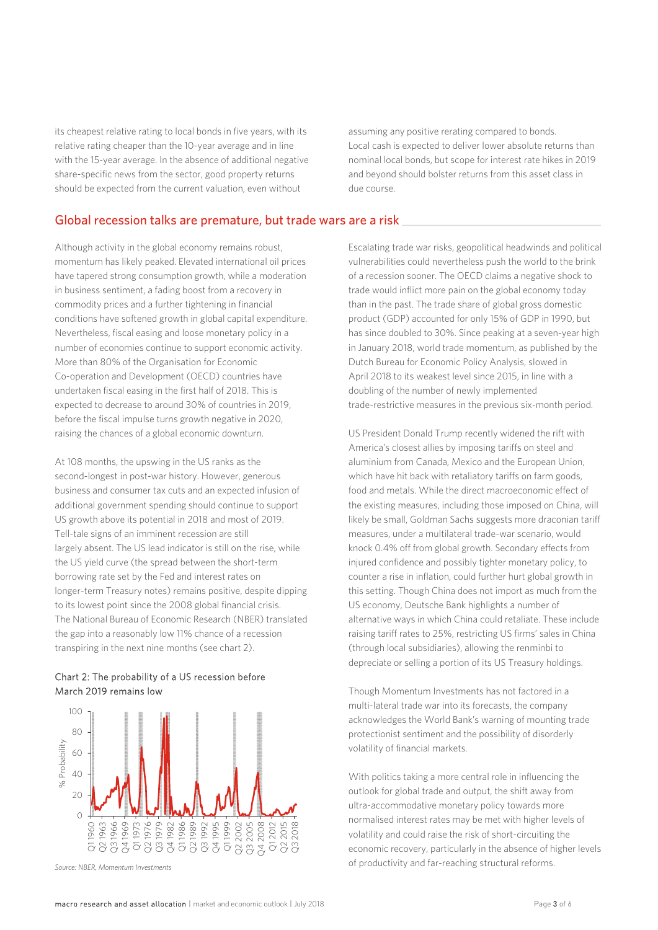its cheapest relative rating to local bonds in five years, with its relative rating cheaper than the 10-year average and in line with the 15-year average. In the absence of additional negative share-specific news from the sector, good property returns should be expected from the current valuation, even without

assuming any positive rerating compared to bonds. Local cash is expected to deliver lower absolute returns than nominal local bonds, but scope for interest rate hikes in 2019 and beyond should bolster returns from this asset class in due course.

#### Global recession talks are premature, but trade wars are a risk

Although activity in the global economy remains robust, momentum has likely peaked. Elevated international oil prices have tapered strong consumption growth, while a moderation in business sentiment, a fading boost from a recovery in commodity prices and a further tightening in financial conditions have softened growth in global capital expenditure. Nevertheless, fiscal easing and loose monetary policy in a number of economies continue to support economic activity. More than 80% of the Organisation for Economic Co-operation and Development (OECD) countries have undertaken fiscal easing in the first half of 2018. This is expected to decrease to around 30% of countries in 2019, before the fiscal impulse turns growth negative in 2020, raising the chances of a global economic downturn.

At 108 months, the upswing in the US ranks as the second-longest in post-war history. However, generous business and consumer tax cuts and an expected infusion of additional government spending should continue to support US growth above its potential in 2018 and most of 2019. Tell-tale signs of an imminent recession are still largely absent. The US lead indicator is still on the rise, while the US yield curve (the spread between the short-term borrowing rate set by the Fed and interest rates on longer-term Treasury notes) remains positive, despite dipping to its lowest point since the 2008 global financial crisis. The National Bureau of Economic Research (NBER) translated the gap into a reasonably low 11% chance of a recession transpiring in the next nine months (see chart 2).

#### Chart 2: The probability of a US recession before March 2019 remains low



*Source: NBER, Momentum Investments*

Escalating trade war risks, geopolitical headwinds and political vulnerabilities could nevertheless push the world to the brink of a recession sooner. The OECD claims a negative shock to trade would inflict more pain on the global economy today than in the past. The trade share of global gross domestic product (GDP) accounted for only 15% of GDP in 1990, but has since doubled to 30%. Since peaking at a seven-year high in January 2018, world trade momentum, as published by the Dutch Bureau for Economic Policy Analysis, slowed in April 2018 to its weakest level since 2015, in line with a doubling of the number of newly implemented trade-restrictive measures in the previous six-month period.

US President Donald Trump recently widened the rift with America's closest allies by imposing tariffs on steel and aluminium from Canada, Mexico and the European Union, which have hit back with retaliatory tariffs on farm goods, food and metals. While the direct macroeconomic effect of the existing measures, including those imposed on China, will likely be small, Goldman Sachs suggests more draconian tariff measures, under a multilateral trade-war scenario, would knock 0.4% off from global growth. Secondary effects from injured confidence and possibly tighter monetary policy, to counter a rise in inflation, could further hurt global growth in this setting. Though China does not import as much from the US economy, Deutsche Bank highlights a number of alternative ways in which China could retaliate. These include raising tariff rates to 25%, restricting US firms' sales in China (through local subsidiaries), allowing the renminbi to depreciate or selling a portion of its US Treasury holdings.

Though Momentum Investments has not factored in a multi-lateral trade war into its forecasts, the company acknowledges the World Bank's warning of mounting trade protectionist sentiment and the possibility of disorderly volatility of financial markets.

With politics taking a more central role in influencing the outlook for global trade and output, the shift away from ultra-accommodative monetary policy towards more normalised interest rates may be met with higher levels of volatility and could raise the risk of short-circuiting the economic recovery, particularly in the absence of higher levels of productivity and far-reaching structural reforms.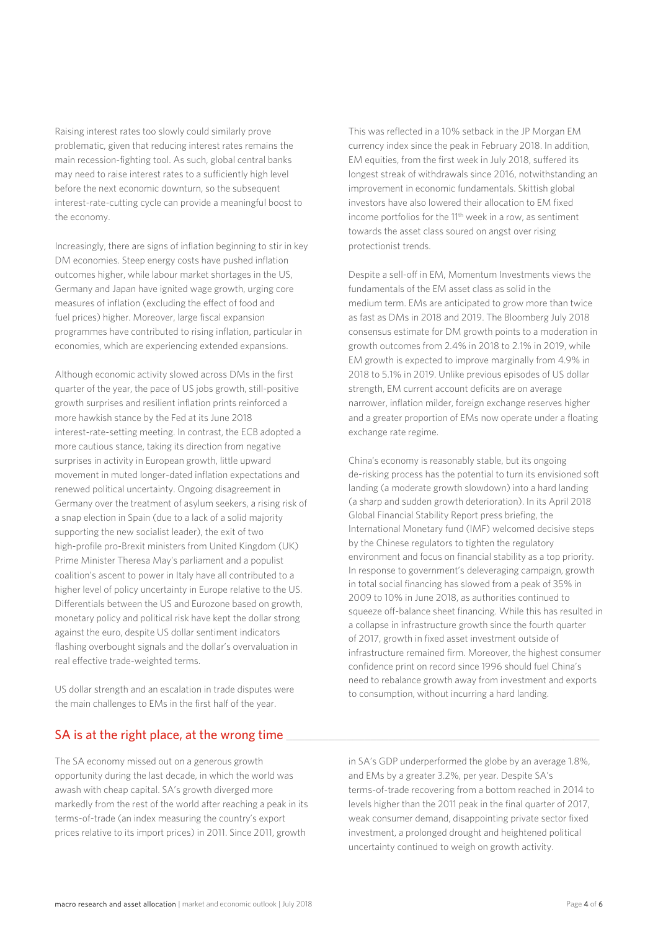Raising interest rates too slowly could similarly prove problematic, given that reducing interest rates remains the main recession-fighting tool. As such, global central banks may need to raise interest rates to a sufficiently high level before the next economic downturn, so the subsequent interest-rate-cutting cycle can provide a meaningful boost to the economy.

Increasingly, there are signs of inflation beginning to stir in key DM economies. Steep energy costs have pushed inflation outcomes higher, while labour market shortages in the US, Germany and Japan have ignited wage growth, urging core measures of inflation (excluding the effect of food and fuel prices) higher. Moreover, large fiscal expansion programmes have contributed to rising inflation, particular in economies, which are experiencing extended expansions.

Although economic activity slowed across DMs in the first quarter of the year, the pace of US jobs growth, still-positive growth surprises and resilient inflation prints reinforced a more hawkish stance by the Fed at its June 2018 interest-rate-setting meeting. In contrast, the ECB adopted a more cautious stance, taking its direction from negative surprises in activity in European growth, little upward movement in muted longer-dated inflation expectations and renewed political uncertainty. Ongoing disagreement in Germany over the treatment of asylum seekers, a rising risk of a snap election in Spain (due to a lack of a solid majority supporting the new socialist leader), the exit of two high-profile pro-Brexit ministers from United Kingdom (UK) Prime Minister Theresa May's parliament and a populist coalition's ascent to power in Italy have all contributed to a higher level of policy uncertainty in Europe relative to the US. Differentials between the US and Eurozone based on growth, monetary policy and political risk have kept the dollar strong against the euro, despite US dollar sentiment indicators flashing overbought signals and the dollar's overvaluation in real effective trade-weighted terms.

US dollar strength and an escalation in trade disputes were the main challenges to EMs in the first half of the year.

This was reflected in a 10% setback in the JP Morgan EM currency index since the peak in February 2018. In addition, EM equities, from the first week in July 2018, suffered its longest streak of withdrawals since 2016, notwithstanding an improvement in economic fundamentals. Skittish global investors have also lowered their allocation to EM fixed income portfolios for the 11<sup>th</sup> week in a row, as sentiment towards the asset class soured on angst over rising protectionist trends.

Despite a sell-off in EM, Momentum Investments views the fundamentals of the EM asset class as solid in the medium term. EMs are anticipated to grow more than twice as fast as DMs in 2018 and 2019. The Bloomberg July 2018 consensus estimate for DM growth points to a moderation in growth outcomes from 2.4% in 2018 to 2.1% in 2019, while EM growth is expected to improve marginally from 4.9% in 2018 to 5.1% in 2019. Unlike previous episodes of US dollar strength, EM current account deficits are on average narrower, inflation milder, foreign exchange reserves higher and a greater proportion of EMs now operate under a floating exchange rate regime.

China's economy is reasonably stable, but its ongoing de-risking process has the potential to turn its envisioned soft landing (a moderate growth slowdown) into a hard landing (a sharp and sudden growth deterioration). In its April 2018 Global Financial Stability Report press briefing, the International Monetary fund (IMF) welcomed decisive steps by the Chinese regulators to tighten the regulatory environment and focus on financial stability as a top priority. In response to government's deleveraging campaign, growth in total social financing has slowed from a peak of 35% in 2009 to 10% in June 2018, as authorities continued to squeeze off-balance sheet financing. While this has resulted in a collapse in infrastructure growth since the fourth quarter of 2017, growth in fixed asset investment outside of infrastructure remained firm. Moreover, the highest consumer confidence print on record since 1996 should fuel China's need to rebalance growth away from investment and exports to consumption, without incurring a hard landing.

### SA is at the right place, at the wrong time

The SA economy missed out on a generous growth opportunity during the last decade, in which the world was awash with cheap capital. SA's growth diverged more markedly from the rest of the world after reaching a peak in its terms-of-trade (an index measuring the country's export prices relative to its import prices) in 2011. Since 2011, growth

in SA's GDP underperformed the globe by an average 1.8%, and EMs by a greater 3.2%, per year. Despite SA's terms-of-trade recovering from a bottom reached in 2014 to levels higher than the 2011 peak in the final quarter of 2017, weak consumer demand, disappointing private sector fixed investment, a prolonged drought and heightened political uncertainty continued to weigh on growth activity.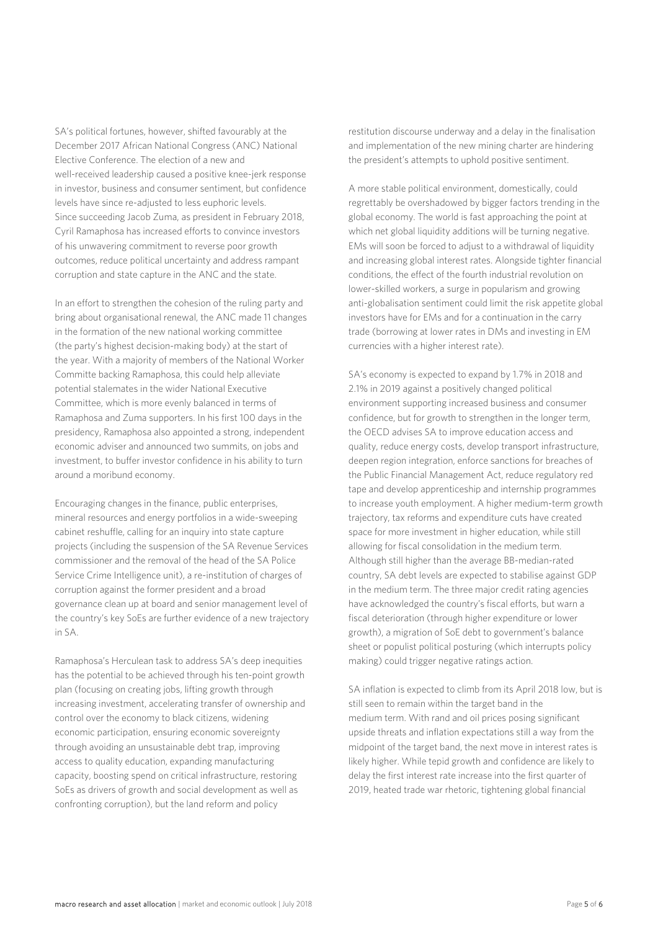SA's political fortunes, however, shifted favourably at the December 2017 African National Congress (ANC) National Elective Conference. The election of a new and well-received leadership caused a positive knee-jerk response in investor, business and consumer sentiment, but confidence levels have since re-adjusted to less euphoric levels. Since succeeding Jacob Zuma, as president in February 2018, Cyril Ramaphosa has increased efforts to convince investors of his unwavering commitment to reverse poor growth outcomes, reduce political uncertainty and address rampant corruption and state capture in the ANC and the state.

In an effort to strengthen the cohesion of the ruling party and bring about organisational renewal, the ANC made 11 changes in the formation of the new national working committee (the party's highest decision-making body) at the start of the year. With a majority of members of the National Worker Committe backing Ramaphosa, this could help alleviate potential stalemates in the wider National Executive Committee, which is more evenly balanced in terms of Ramaphosa and Zuma supporters. In his first 100 days in the presidency, Ramaphosa also appointed a strong, independent economic adviser and announced two summits, on jobs and investment, to buffer investor confidence in his ability to turn around a moribund economy.

Encouraging changes in the finance, public enterprises, mineral resources and energy portfolios in a wide-sweeping cabinet reshuffle, calling for an inquiry into state capture projects (including the suspension of the SA Revenue Services commissioner and the removal of the head of the SA Police Service Crime Intelligence unit), a re-institution of charges of corruption against the former president and a broad governance clean up at board and senior management level of the country's key SoEs are further evidence of a new trajectory in SA.

Ramaphosa's Herculean task to address SA's deep inequities has the potential to be achieved through his ten-point growth plan (focusing on creating jobs, lifting growth through increasing investment, accelerating transfer of ownership and control over the economy to black citizens, widening economic participation, ensuring economic sovereignty through avoiding an unsustainable debt trap, improving access to quality education, expanding manufacturing capacity, boosting spend on critical infrastructure, restoring SoEs as drivers of growth and social development as well as confronting corruption), but the land reform and policy

restitution discourse underway and a delay in the finalisation and implementation of the new mining charter are hindering the president's attempts to uphold positive sentiment.

A more stable political environment, domestically, could regrettably be overshadowed by bigger factors trending in the global economy. The world is fast approaching the point at which net global liquidity additions will be turning negative. EMs will soon be forced to adjust to a withdrawal of liquidity and increasing global interest rates. Alongside tighter financial conditions, the effect of the fourth industrial revolution on lower-skilled workers, a surge in popularism and growing anti-globalisation sentiment could limit the risk appetite global investors have for EMs and for a continuation in the carry trade (borrowing at lower rates in DMs and investing in EM currencies with a higher interest rate).

SA's economy is expected to expand by 1.7% in 2018 and 2.1% in 2019 against a positively changed political environment supporting increased business and consumer confidence, but for growth to strengthen in the longer term, the OECD advises SA to improve education access and quality, reduce energy costs, develop transport infrastructure, deepen region integration, enforce sanctions for breaches of the Public Financial Management Act, reduce regulatory red tape and develop apprenticeship and internship programmes to increase youth employment. A higher medium-term growth trajectory, tax reforms and expenditure cuts have created space for more investment in higher education, while still allowing for fiscal consolidation in the medium term. Although still higher than the average BB-median-rated country, SA debt levels are expected to stabilise against GDP in the medium term. The three major credit rating agencies have acknowledged the country's fiscal efforts, but warn a fiscal deterioration (through higher expenditure or lower growth), a migration of SoE debt to government's balance sheet or populist political posturing (which interrupts policy making) could trigger negative ratings action.

SA inflation is expected to climb from its April 2018 low, but is still seen to remain within the target band in the medium term. With rand and oil prices posing significant upside threats and inflation expectations still a way from the midpoint of the target band, the next move in interest rates is likely higher. While tepid growth and confidence are likely to delay the first interest rate increase into the first quarter of 2019, heated trade war rhetoric, tightening global financial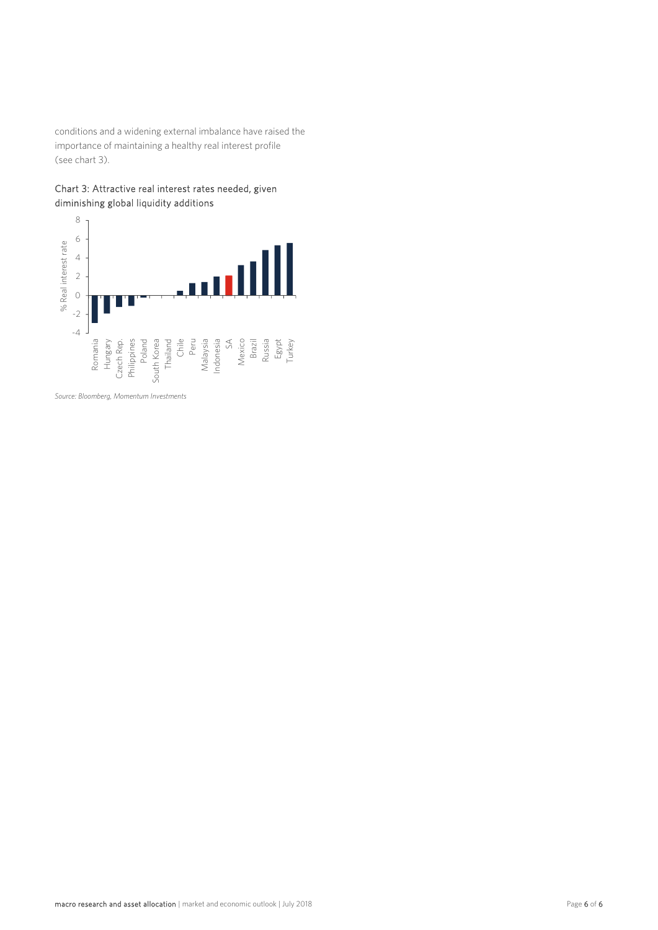conditions and a widening external imbalance have raised the importance of maintaining a healthy real interest profile (see chart 3).





*Source: Bloomberg, Momentum Investments*